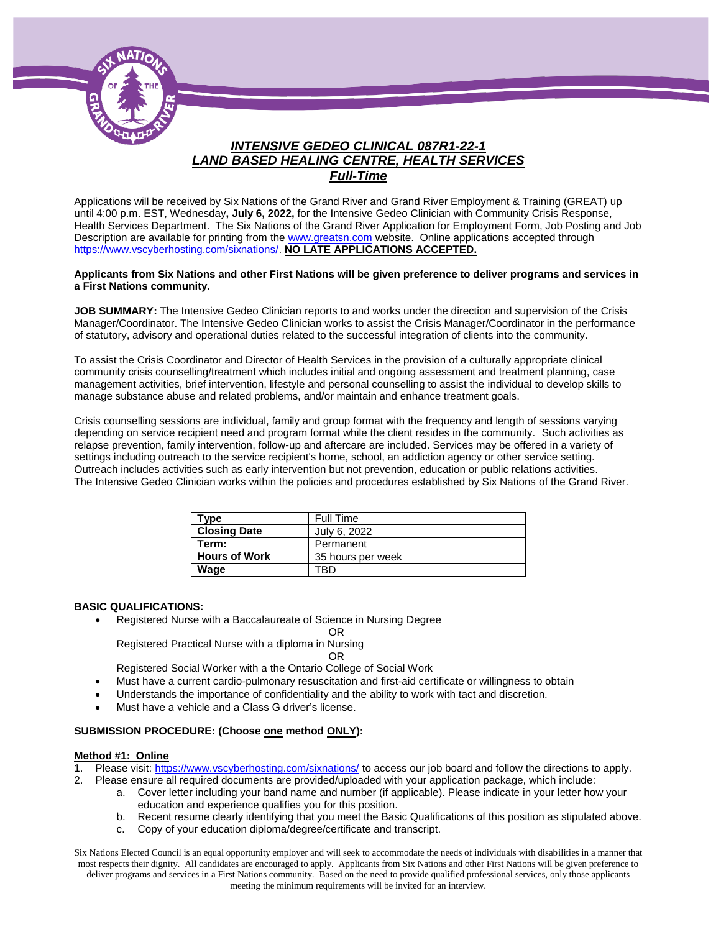

# *INTENSIVE GEDEO CLINICAL 087R1-22-1 LAND BASED HEALING CENTRE, HEALTH SERVICES Full-Time*

Applications will be received by Six Nations of the Grand River and Grand River Employment & Training (GREAT) up until 4:00 p.m. EST, Wednesday**, July 6, 2022,** for the Intensive Gedeo Clinician with Community Crisis Response, Health Services Department. The Six Nations of the Grand River Application for Employment Form, Job Posting and Job Description are available for printing from th[e www.greatsn.com](http://www.greatsn.com/) website. Online applications accepted through [https://www.vscyberhosting.com/sixnations/.](https://www.vscyberhosting.com/sixnations/) **NO LATE APPLICATIONS ACCEPTED.**

#### **Applicants from Six Nations and other First Nations will be given preference to deliver programs and services in a First Nations community.**

**JOB SUMMARY:** The Intensive Gedeo Clinician reports to and works under the direction and supervision of the Crisis Manager/Coordinator. The Intensive Gedeo Clinician works to assist the Crisis Manager/Coordinator in the performance of statutory, advisory and operational duties related to the successful integration of clients into the community.

To assist the Crisis Coordinator and Director of Health Services in the provision of a culturally appropriate clinical community crisis counselling/treatment which includes initial and ongoing assessment and treatment planning, case management activities, brief intervention, lifestyle and personal counselling to assist the individual to develop skills to manage substance abuse and related problems, and/or maintain and enhance treatment goals.

Crisis counselling sessions are individual, family and group format with the frequency and length of sessions varying depending on service recipient need and program format while the client resides in the community. Such activities as relapse prevention, family intervention, follow-up and aftercare are included. Services may be offered in a variety of settings including outreach to the service recipient's home, school, an addiction agency or other service setting. Outreach includes activities such as early intervention but not prevention, education or public relations activities. The Intensive Gedeo Clinician works within the policies and procedures established by Six Nations of the Grand River.

| <b>Type</b>          | Full Time         |
|----------------------|-------------------|
| <b>Closing Date</b>  | July 6, 2022      |
| Term:                | Permanent         |
| <b>Hours of Work</b> | 35 hours per week |
| Wage                 | TRD               |

#### **BASIC QUALIFICATIONS:**

Registered Nurse with a Baccalaureate of Science in Nursing Degree

Registered Practical Nurse with a diploma in Nursing

#### OR

Registered Social Worker with a the Ontario College of Social Work

Must have a current cardio-pulmonary resuscitation and first-aid certificate or willingness to obtain

OR

- Understands the importance of confidentiality and the ability to work with tact and discretion.
- Must have a vehicle and a Class G driver's license.

### **SUBMISSION PROCEDURE: (Choose one method ONLY):**

#### **Method #1: Online**

- 1. Please visit[: https://www.vscyberhosting.com/sixnations/](https://www.vscyberhosting.com/sixnations/) to access our job board and follow the directions to apply.
- 2. Please ensure all required documents are provided/uploaded with your application package, which include:
	- a. Cover letter including your band name and number (if applicable). Please indicate in your letter how your education and experience qualifies you for this position.
	- b. Recent resume clearly identifying that you meet the Basic Qualifications of this position as stipulated above.
	- c. Copy of your education diploma/degree/certificate and transcript.

Six Nations Elected Council is an equal opportunity employer and will seek to accommodate the needs of individuals with disabilities in a manner that most respects their dignity. All candidates are encouraged to apply. Applicants from Six Nations and other First Nations will be given preference to deliver programs and services in a First Nations community. Based on the need to provide qualified professional services, only those applicants meeting the minimum requirements will be invited for an interview.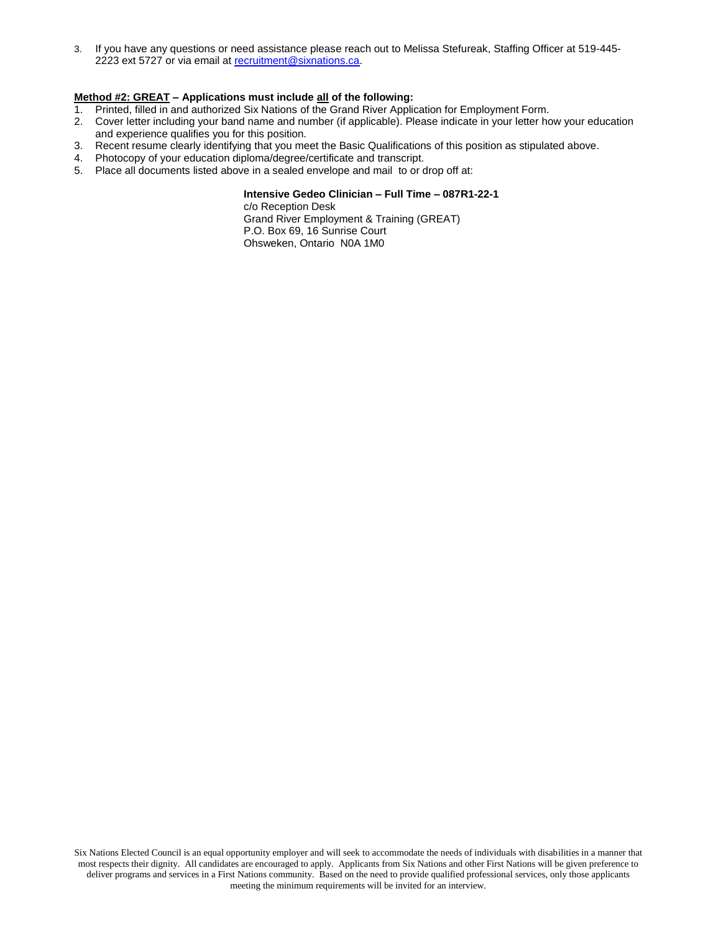3. If you have any questions or need assistance please reach out to Melissa Stefureak, Staffing Officer at 519-445- 2223 ext 5727 or via email at [recruitment@sixnations.ca.](mailto:StaffHR@sixnations.ca)

### **Method #2: GREAT – Applications must include all of the following:**

- 1. Printed, filled in and authorized Six Nations of the Grand River Application for Employment Form.
- 2. Cover letter including your band name and number (if applicable). Please indicate in your letter how your education and experience qualifies you for this position.
- 3. Recent resume clearly identifying that you meet the Basic Qualifications of this position as stipulated above.
- 4. Photocopy of your education diploma/degree/certificate and transcript.
- 5. Place all documents listed above in a sealed envelope and mail to or drop off at:

### **Intensive Gedeo Clinician – Full Time – 087R1-22-1**

c/o Reception Desk Grand River Employment & Training (GREAT) P.O. Box 69, 16 Sunrise Court Ohsweken, Ontario N0A 1M0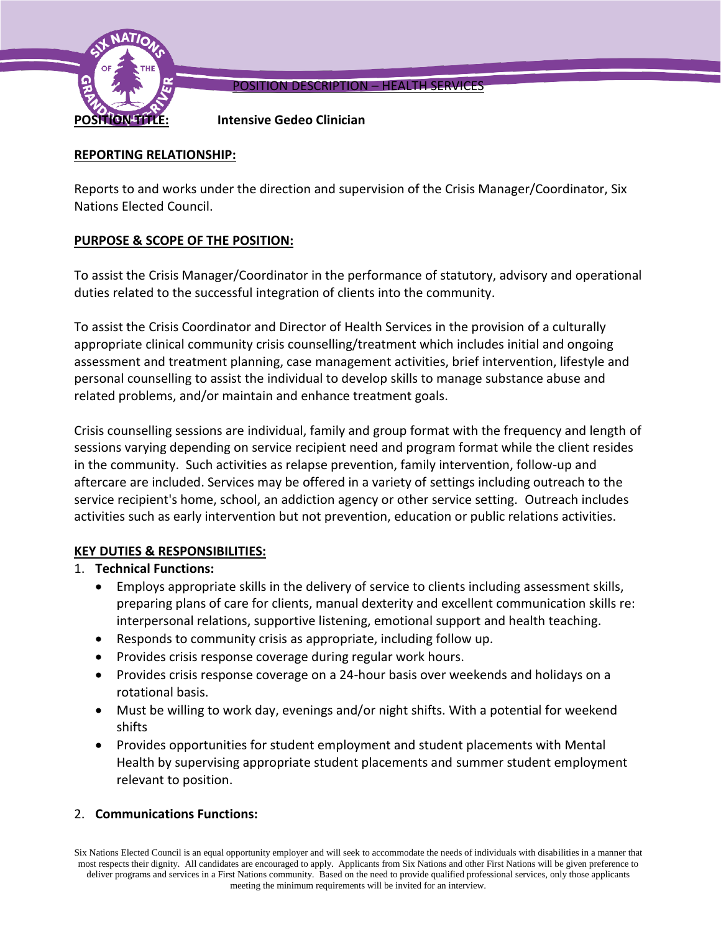

POSITION DESCRIPTION – HEALTH SERVICES

**POSITION TITLE: Intensive Gedeo Clinician** 

## **REPORTING RELATIONSHIP:**

Reports to and works under the direction and supervision of the Crisis Manager/Coordinator, Six Nations Elected Council.

## **PURPOSE & SCOPE OF THE POSITION:**

To assist the Crisis Manager/Coordinator in the performance of statutory, advisory and operational duties related to the successful integration of clients into the community.

To assist the Crisis Coordinator and Director of Health Services in the provision of a culturally appropriate clinical community crisis counselling/treatment which includes initial and ongoing assessment and treatment planning, case management activities, brief intervention, lifestyle and personal counselling to assist the individual to develop skills to manage substance abuse and related problems, and/or maintain and enhance treatment goals.

Crisis counselling sessions are individual, family and group format with the frequency and length of sessions varying depending on service recipient need and program format while the client resides in the community. Such activities as relapse prevention, family intervention, follow-up and aftercare are included. Services may be offered in a variety of settings including outreach to the service recipient's home, school, an addiction agency or other service setting. Outreach includes activities such as early intervention but not prevention, education or public relations activities.

# **KEY DUTIES & RESPONSIBILITIES:**

## 1. **Technical Functions:**

- Employs appropriate skills in the delivery of service to clients including assessment skills, preparing plans of care for clients, manual dexterity and excellent communication skills re: interpersonal relations, supportive listening, emotional support and health teaching.
- Responds to community crisis as appropriate, including follow up.
- Provides crisis response coverage during regular work hours.
- Provides crisis response coverage on a 24-hour basis over weekends and holidays on a rotational basis.
- Must be willing to work day, evenings and/or night shifts. With a potential for weekend shifts
- Provides opportunities for student employment and student placements with Mental Health by supervising appropriate student placements and summer student employment relevant to position.

## 2. **Communications Functions:**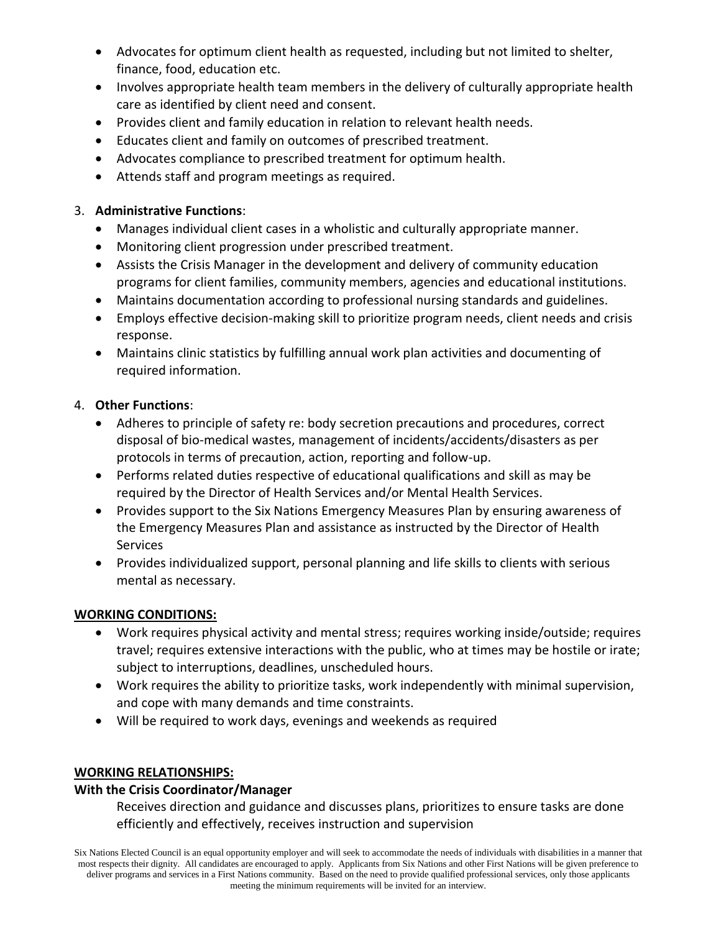- Advocates for optimum client health as requested, including but not limited to shelter, finance, food, education etc.
- Involves appropriate health team members in the delivery of culturally appropriate health care as identified by client need and consent.
- Provides client and family education in relation to relevant health needs.
- Educates client and family on outcomes of prescribed treatment.
- Advocates compliance to prescribed treatment for optimum health.
- Attends staff and program meetings as required.

# 3. **Administrative Functions**:

- Manages individual client cases in a wholistic and culturally appropriate manner.
- Monitoring client progression under prescribed treatment.
- Assists the Crisis Manager in the development and delivery of community education programs for client families, community members, agencies and educational institutions.
- Maintains documentation according to professional nursing standards and guidelines.
- Employs effective decision-making skill to prioritize program needs, client needs and crisis response.
- Maintains clinic statistics by fulfilling annual work plan activities and documenting of required information.

# 4. **Other Functions**:

- Adheres to principle of safety re: body secretion precautions and procedures, correct disposal of bio-medical wastes, management of incidents/accidents/disasters as per protocols in terms of precaution, action, reporting and follow-up.
- Performs related duties respective of educational qualifications and skill as may be required by the Director of Health Services and/or Mental Health Services.
- Provides support to the Six Nations Emergency Measures Plan by ensuring awareness of the Emergency Measures Plan and assistance as instructed by the Director of Health **Services**
- Provides individualized support, personal planning and life skills to clients with serious mental as necessary.

# **WORKING CONDITIONS:**

- Work requires physical activity and mental stress; requires working inside/outside; requires travel; requires extensive interactions with the public, who at times may be hostile or irate; subject to interruptions, deadlines, unscheduled hours.
- Work requires the ability to prioritize tasks, work independently with minimal supervision, and cope with many demands and time constraints.
- Will be required to work days, evenings and weekends as required

# **WORKING RELATIONSHIPS:**

# **With the Crisis Coordinator/Manager**

Receives direction and guidance and discusses plans, prioritizes to ensure tasks are done efficiently and effectively, receives instruction and supervision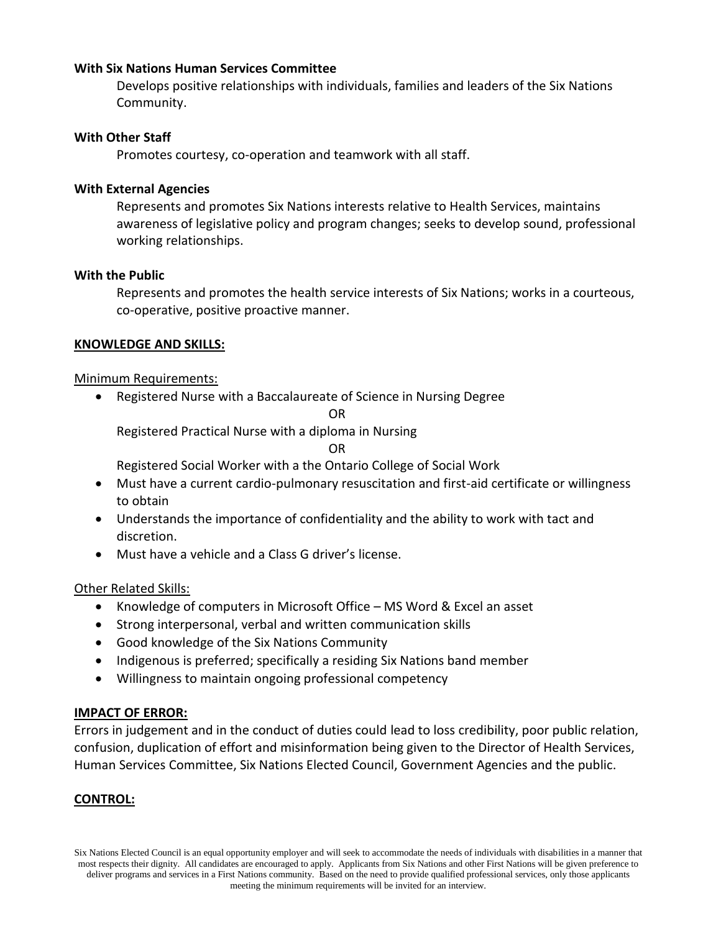## **With Six Nations Human Services Committee**

Develops positive relationships with individuals, families and leaders of the Six Nations Community.

## **With Other Staff**

Promotes courtesy, co-operation and teamwork with all staff.

## **With External Agencies**

Represents and promotes Six Nations interests relative to Health Services, maintains awareness of legislative policy and program changes; seeks to develop sound, professional working relationships.

## **With the Public**

Represents and promotes the health service interests of Six Nations; works in a courteous, co-operative, positive proactive manner.

## **KNOWLEDGE AND SKILLS:**

## Minimum Requirements:

Registered Nurse with a Baccalaureate of Science in Nursing Degree

OR

Registered Practical Nurse with a diploma in Nursing

### OR

Registered Social Worker with a the Ontario College of Social Work

- Must have a current cardio-pulmonary resuscitation and first-aid certificate or willingness to obtain
- Understands the importance of confidentiality and the ability to work with tact and discretion.
- Must have a vehicle and a Class G driver's license.

## Other Related Skills:

- Knowledge of computers in Microsoft Office MS Word & Excel an asset
- Strong interpersonal, verbal and written communication skills
- Good knowledge of the Six Nations Community
- Indigenous is preferred; specifically a residing Six Nations band member
- Willingness to maintain ongoing professional competency

### **IMPACT OF ERROR:**

Errors in judgement and in the conduct of duties could lead to loss credibility, poor public relation, confusion, duplication of effort and misinformation being given to the Director of Health Services, Human Services Committee, Six Nations Elected Council, Government Agencies and the public.

## **CONTROL:**

Six Nations Elected Council is an equal opportunity employer and will seek to accommodate the needs of individuals with disabilities in a manner that most respects their dignity. All candidates are encouraged to apply. Applicants from Six Nations and other First Nations will be given preference to deliver programs and services in a First Nations community. Based on the need to provide qualified professional services, only those applicants meeting the minimum requirements will be invited for an interview.